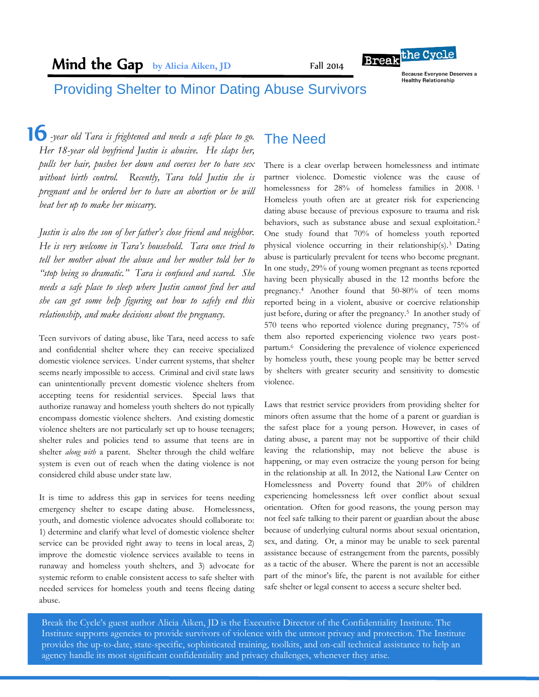Fall 2014



**Because Everyone Deserves a Healthy Relationship** 

# Providing Shelter to Minor Dating Abuse Survivors

 *-year old Tara is frightened and needs a safe place to go.* 16 *Her 18-year old boyfriend Justin is abusive. He slaps her, pulls her hair, pushes her down and coerces her to have sex without birth control. Recently, Tara told Justin she is pregnant and he ordered her to have an abortion or he will beat her up to make her miscarry.* 

*Justin is also the son of her father's close friend and neighbor. He is very welcome in Tara's household. Tara once tried to tell her mother about the abuse and her mother told her to "stop being so dramatic." Tara is confused and scared. She needs a safe place to sleep where Justin cannot find her and she can get some help figuring out how to safely end this relationship, and make decisions about the pregnancy.*

Teen survivors of dating abuse, like Tara, need access to safe and confidential shelter where they can receive specialized domestic violence services. Under current systems, that shelter seems nearly impossible to access. Criminal and civil state laws can unintentionally prevent domestic violence shelters from accepting teens for residential services. Special laws that authorize runaway and homeless youth shelters do not typically encompass domestic violence shelters. And existing domestic violence shelters are not particularly set up to house teenagers; shelter rules and policies tend to assume that teens are in shelter *along with* a parent. Shelter through the child welfare system is even out of reach when the dating violence is not considered child abuse under state law.

It is time to address this gap in services for teens needing emergency shelter to escape dating abuse. Homelessness, youth, and domestic violence advocates should collaborate to: 1) determine and clarify what level of domestic violence shelter service can be provided right away to teens in local areas, 2) improve the domestic violence services available to teens in runaway and homeless youth shelters, and 3) advocate for systemic reform to enable consistent access to safe shelter with needed services for homeless youth and teens fleeing dating abuse.

# The Need

There is a clear overlap between homelessness and intimate partner violence. Domestic violence was the cause of homelessness for 28% of homeless families in 2008.<sup>1</sup> Homeless youth often are at greater risk for experiencing dating abuse because of previous exposure to trauma and risk behaviors, such as substance abuse and sexual exploitation.<sup>2</sup> One study found that 70% of homeless youth reported physical violence occurring in their relationship(s).<sup>3</sup> Dating abuse is particularly prevalent for teens who become pregnant. In one study, 29% of young women pregnant as teens reported having been physically abused in the 12 months before the pregnancy.<sup>4</sup> Another found that 50-80% of teen moms reported being in a violent, abusive or coercive relationship just before, during or after the pregnancy.<sup>5</sup> In another study of 570 teens who reported violence during pregnancy, 75% of them also reported experiencing violence two years postpartum.<sup>6</sup> Considering the prevalence of violence experienced by homeless youth, these young people may be better served by shelters with greater security and sensitivity to domestic violence.

Laws that restrict service providers from providing shelter for minors often assume that the home of a parent or guardian is the safest place for a young person. However, in cases of dating abuse, a parent may not be supportive of their child leaving the relationship, may not believe the abuse is happening, or may even ostracize the young person for being in the relationship at all. In 2012, the National Law Center on Homelessness and Poverty found that 20% of children experiencing homelessness left over conflict about sexual orientation. Often for good reasons, the young person may not feel safe talking to their parent or guardian about the abuse because of underlying cultural norms about sexual orientation, sex, and dating. Or, a minor may be unable to seek parental assistance because of estrangement from the parents, possibly as a tactic of the abuser. Where the parent is not an accessible part of the minor's life, the parent is not available for either safe shelter or legal consent to access a secure shelter bed.

Break the Cycle's guest author Alicia Aiken, JD is the Executive Director of the Confidentiality Institute. The Institute supports agencies to provide survivors of violence with the utmost privacy and protection. The Institute provides the up-to-date, state-specific, sophisticated training, toolkits, and on-call technical assistance to help an agency handle its most significant confidentiality and privacy challenges, whenever they arise.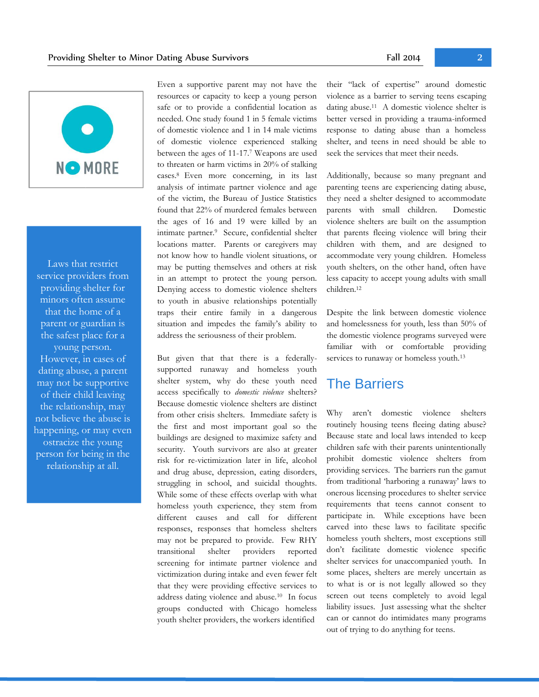

Laws that restrict service providers from providing shelter for minors often assume that the home of a parent or guardian is the safest place for a young person. However, in cases of dating abuse, a parent may not be supportive of their child leaving the relationship, may not believe the abuse is happening, or may even ostracize the young person for being in the relationship at all.

Even a supportive parent may not have the resources or capacity to keep a young person safe or to provide a confidential location as needed. One study found 1 in 5 female victims of domestic violence and 1 in 14 male victims of domestic violence experienced stalking between the ages of 11-17.<sup>7</sup> Weapons are used to threaten or harm victims in 20% of stalking cases. <sup>8</sup>Even more concerning, in its last analysis of intimate partner violence and age of the victim, the Bureau of Justice Statistics found that 22% of murdered females between the ages of 16 and 19 were killed by an intimate partner.<sup>9</sup> Secure, confidential shelter locations matter. Parents or caregivers may not know how to handle violent situations, or may be putting themselves and others at risk in an attempt to protect the young person. Denying access to domestic violence shelters to youth in abusive relationships potentially traps their entire family in a dangerous situation and impedes the family's ability to address the seriousness of their problem.

But given that that there is a federallysupported runaway and homeless youth shelter system, why do these youth need access specifically to *domestic violence* shelters? Because domestic violence shelters are distinct from other crisis shelters. Immediate safety is the first and most important goal so the buildings are designed to maximize safety and security. Youth survivors are also at greater risk for re-victimization later in life, alcohol and drug abuse, depression, eating disorders, struggling in school, and suicidal thoughts. While some of these effects overlap with what homeless youth experience, they stem from different causes and call for different responses, responses that homeless shelters may not be prepared to provide. Few RHY transitional shelter providers reported screening for intimate partner violence and victimization during intake and even fewer felt that they were providing effective services to address dating violence and abuse.<sup>10</sup> In focus groups conducted with Chicago homeless youth shelter providers, the workers identified

their "lack of expertise" around domestic violence as a barrier to serving teens escaping dating abuse.<sup>11</sup> A domestic violence shelter is better versed in providing a trauma-informed response to dating abuse than a homeless shelter, and teens in need should be able to seek the services that meet their needs.

Additionally, because so many pregnant and parenting teens are experiencing dating abuse, they need a shelter designed to accommodate parents with small children. Domestic violence shelters are built on the assumption that parents fleeing violence will bring their children with them, and are designed to accommodate very young children. Homeless youth shelters, on the other hand, often have less capacity to accept young adults with small children.<sup>12</sup>

Despite the link between domestic violence and homelessness for youth, less than 50% of the domestic violence programs surveyed were familiar with or comfortable providing services to runaway or homeless youth.<sup>13</sup>

#### The Barriers

Why aren't domestic violence shelters routinely housing teens fleeing dating abuse? Because state and local laws intended to keep children safe with their parents unintentionally prohibit domestic violence shelters from providing services. The barriers run the gamut from traditional 'harboring a runaway' laws to onerous licensing procedures to shelter service requirements that teens cannot consent to participate in. While exceptions have been carved into these laws to facilitate specific homeless youth shelters, most exceptions still don't facilitate domestic violence specific shelter services for unaccompanied youth. In some places, shelters are merely uncertain as to what is or is not legally allowed so they screen out teens completely to avoid legal liability issues. Just assessing what the shelter can or cannot do intimidates many programs out of trying to do anything for teens.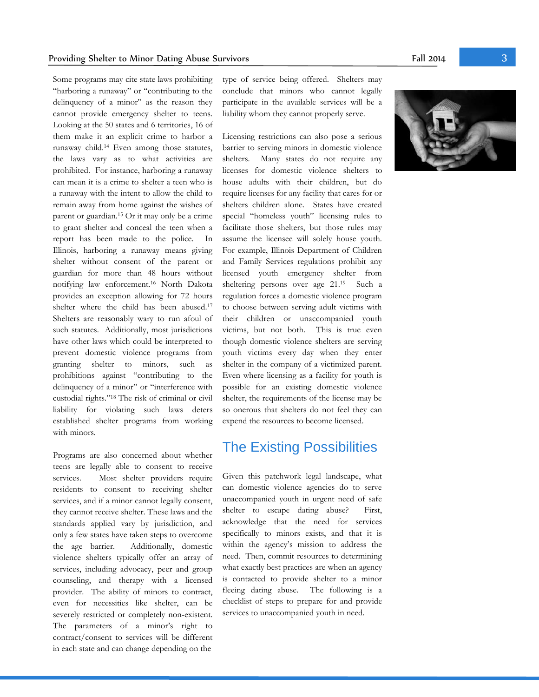Some programs may cite state laws prohibiting "harboring a runaway" or "contributing to the delinquency of a minor" as the reason they cannot provide emergency shelter to teens. Looking at the 50 states and 6 territories, 16 of them make it an explicit crime to harbor a runaway child.<sup>14</sup> Even among those statutes, the laws vary as to what activities are prohibited. For instance, harboring a runaway can mean it is a crime to shelter a teen who is a runaway with the intent to allow the child to remain away from home against the wishes of parent or guardian.<sup>15</sup> Or it may only be a crime to grant shelter and conceal the teen when a report has been made to the police. In Illinois, harboring a runaway means giving shelter without consent of the parent or guardian for more than 48 hours without notifying law enforcement.<sup>16</sup> North Dakota provides an exception allowing for 72 hours shelter where the child has been abused.<sup>17</sup> Shelters are reasonably wary to run afoul of such statutes. Additionally, most jurisdictions have other laws which could be interpreted to prevent domestic violence programs from granting shelter to minors, such as prohibitions against "contributing to the delinquency of a minor" or "interference with custodial rights."<sup>18</sup> The risk of criminal or civil liability for violating such laws deters established shelter programs from working with minors.

Programs are also concerned about whether teens are legally able to consent to receive services. Most shelter providers require residents to consent to receiving shelter services, and if a minor cannot legally consent, they cannot receive shelter. These laws and the standards applied vary by jurisdiction, and only a few states have taken steps to overcome the age barrier. Additionally, domestic violence shelters typically offer an array of services, including advocacy, peer and group counseling, and therapy with a licensed provider. The ability of minors to contract, even for necessities like shelter, can be severely restricted or completely non-existent. The parameters of a minor's right to contract/consent to services will be different in each state and can change depending on the

type of service being offered. Shelters may conclude that minors who cannot legally participate in the available services will be a liability whom they cannot properly serve.

Licensing restrictions can also pose a serious barrier to serving minors in domestic violence shelters. Many states do not require any licenses for domestic violence shelters to house adults with their children, but do require licenses for any facility that cares for or shelters children alone. States have created special "homeless youth" licensing rules to facilitate those shelters, but those rules may assume the licensee will solely house youth. For example, Illinois Department of Children and Family Services regulations prohibit any licensed youth emergency shelter from sheltering persons over age 21.<sup>19</sup> Such a regulation forces a domestic violence program to choose between serving adult victims with their children or unaccompanied youth victims, but not both. This is true even though domestic violence shelters are serving youth victims every day when they enter shelter in the company of a victimized parent. Even where licensing as a facility for youth is possible for an existing domestic violence shelter, the requirements of the license may be so onerous that shelters do not feel they can expend the resources to become licensed.

### The Existing Possibilities

Given this patchwork legal landscape, what can domestic violence agencies do to serve unaccompanied youth in urgent need of safe shelter to escape dating abuse? First, acknowledge that the need for services specifically to minors exists, and that it is within the agency's mission to address the need. Then, commit resources to determining what exactly best practices are when an agency is contacted to provide shelter to a minor fleeing dating abuse. The following is a checklist of steps to prepare for and provide services to unaccompanied youth in need.

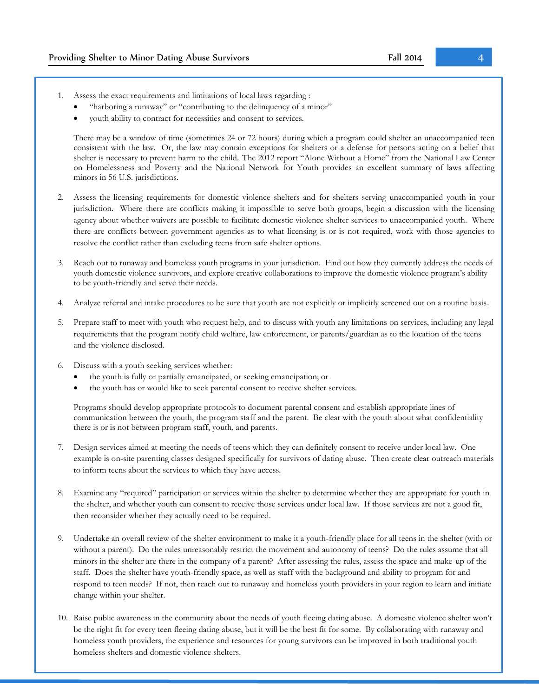- 1. Assess the exact requirements and limitations of local laws regarding :
	- "harboring a runaway" or "contributing to the delinquency of a minor"
	- youth ability to contract for necessities and consent to services.

There may be a window of time (sometimes 24 or 72 hours) during which a program could shelter an unaccompanied teen consistent with the law. Or, the law may contain exceptions for shelters or a defense for persons acting on a belief that shelter is necessary to prevent harm to the child. The 2012 report "Alone Without a Home" from the National Law Center on Homelessness and Poverty and the National Network for Youth provides an excellent summary of laws affecting minors in 56 U.S. jurisdictions.

- 2. Assess the licensing requirements for domestic violence shelters and for shelters serving unaccompanied youth in your jurisdiction. Where there are conflicts making it impossible to serve both groups, begin a discussion with the licensing agency about whether waivers are possible to facilitate domestic violence shelter services to unaccompanied youth. Where there are conflicts between government agencies as to what licensing is or is not required, work with those agencies to resolve the conflict rather than excluding teens from safe shelter options.
- 3. Reach out to runaway and homeless youth programs in your jurisdiction. Find out how they currently address the needs of youth domestic violence survivors, and explore creative collaborations to improve the domestic violence program's ability to be youth-friendly and serve their needs.
- 4. Analyze referral and intake procedures to be sure that youth are not explicitly or implicitly screened out on a routine basis.
- 5. Prepare staff to meet with youth who request help, and to discuss with youth any limitations on services, including any legal requirements that the program notify child welfare, law enforcement, or parents/guardian as to the location of the teens and the violence disclosed.
- 6. Discuss with a youth seeking services whether:
	- the youth is fully or partially emancipated, or seeking emancipation; or
	- the youth has or would like to seek parental consent to receive shelter services.

Programs should develop appropriate protocols to document parental consent and establish appropriate lines of communication between the youth, the program staff and the parent. Be clear with the youth about what confidentiality there is or is not between program staff, youth, and parents.

- 7. Design services aimed at meeting the needs of teens which they can definitely consent to receive under local law. One example is on-site parenting classes designed specifically for survivors of dating abuse. Then create clear outreach materials to inform teens about the services to which they have access.
- 8. Examine any "required" participation or services within the shelter to determine whether they are appropriate for youth in the shelter, and whether youth can consent to receive those services under local law. If those services are not a good fit, then reconsider whether they actually need to be required.
- 9. Undertake an overall review of the shelter environment to make it a youth-friendly place for all teens in the shelter (with or without a parent). Do the rules unreasonably restrict the movement and autonomy of teens? Do the rules assume that all minors in the shelter are there in the company of a parent? After assessing the rules, assess the space and make-up of the staff. Does the shelter have youth-friendly space, as well as staff with the background and ability to program for and respond to teen needs? If not, then reach out to runaway and homeless youth providers in your region to learn and initiate change within your shelter.
- 10. Raise public awareness in the community about the needs of youth fleeing dating abuse. A domestic violence shelter won't be the right fit for every teen fleeing dating abuse, but it will be the best fit for some. By collaborating with runaway and homeless youth providers, the experience and resources for young survivors can be improved in both traditional youth homeless shelters and domestic violence shelters.